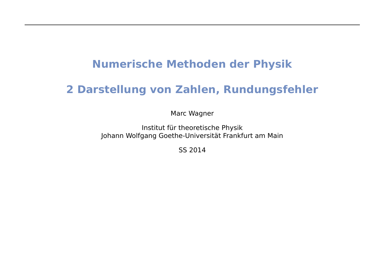## **Numerische Methoden der Physik**

## **2 Darstellung von Zahlen, Rundungsfehler**

Marc Wagner

Institut für theoretische Physik Johann Wolfgang Goethe-Universität Frankfurt am Main

SS 2014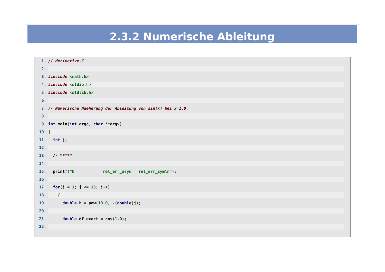## 2.3.2 Numerische Ableitung

|         | 1. // derivative.C                                             |  |  |
|---------|----------------------------------------------------------------|--|--|
| 2.      |                                                                |  |  |
|         | 3. #include <math.h></math.h>                                  |  |  |
|         | 4. #include <stdio.h></stdio.h>                                |  |  |
|         | 5. #include <stdlib.h></stdlib.h>                              |  |  |
| 6.      |                                                                |  |  |
|         | 7. // Numerische Naeherung der Ableitung von sin(x) bei x=1.0. |  |  |
| 8.      |                                                                |  |  |
|         | 9. int main(int argc, char **argv)                             |  |  |
| $10.$ { |                                                                |  |  |
|         | 11. $int j;$                                                   |  |  |
| 12.     |                                                                |  |  |
|         | 13. $//$ *****                                                 |  |  |
| 14.     |                                                                |  |  |
| 15.     | printf("h<br>rel_err_asym rel_err_sym\n");                     |  |  |
| 16.     |                                                                |  |  |
| 17.     | for( $j = 1$ ; $j \le 15$ ; $j++)$                             |  |  |
| 18.     | $\mathcal{L}$                                                  |  |  |
| 19.     | double $h = pow(10.0, -(double)j);$                            |  |  |
| 20.     |                                                                |  |  |
| 21.     | double $df_{\text{exact}} = \cos(1.0)$ ;                       |  |  |
| 22.     |                                                                |  |  |
|         |                                                                |  |  |